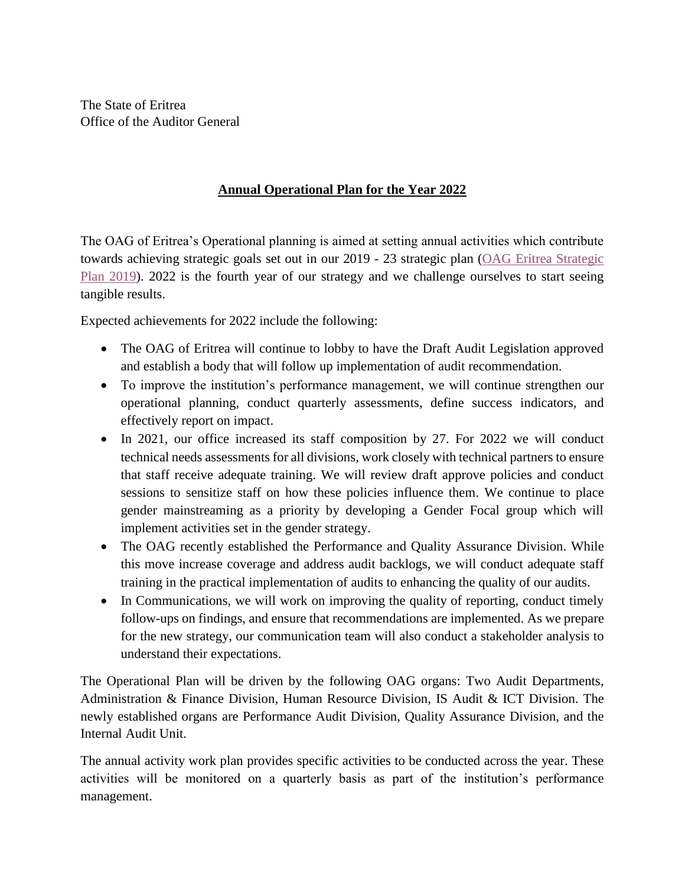The State of Eritrea Office of the Auditor General

## **Annual Operational Plan for the Year 2022**

The OAG of Eritrea's Operational planning is aimed at setting annual activities which contribute towards achieving strategic goals set out in our 2019 - 23 strategic plan [\(OAG Eritrea Strategic](http://oageritrea.org/images/cms/Operational.pdf)  [Plan 2019\)](http://oageritrea.org/images/cms/Operational.pdf). 2022 is the fourth year of our strategy and we challenge ourselves to start seeing tangible results.

Expected achievements for 2022 include the following:

- The OAG of Eritrea will continue to lobby to have the Draft Audit Legislation approved and establish a body that will follow up implementation of audit recommendation.
- To improve the institution's performance management, we will continue strengthen our operational planning, conduct quarterly assessments, define success indicators, and effectively report on impact.
- In 2021, our office increased its staff composition by 27. For 2022 we will conduct technical needs assessments for all divisions, work closely with technical partners to ensure that staff receive adequate training. We will review draft approve policies and conduct sessions to sensitize staff on how these policies influence them. We continue to place gender mainstreaming as a priority by developing a Gender Focal group which will implement activities set in the gender strategy.
- The OAG recently established the Performance and Quality Assurance Division. While this move increase coverage and address audit backlogs, we will conduct adequate staff training in the practical implementation of audits to enhancing the quality of our audits.
- In Communications, we will work on improving the quality of reporting, conduct timely follow-ups on findings, and ensure that recommendations are implemented. As we prepare for the new strategy, our communication team will also conduct a stakeholder analysis to understand their expectations.

The Operational Plan will be driven by the following OAG organs: Two Audit Departments, Administration & Finance Division, Human Resource Division, IS Audit & ICT Division. The newly established organs are Performance Audit Division, Quality Assurance Division, and the Internal Audit Unit.

The annual activity work plan provides specific activities to be conducted across the year. These activities will be monitored on a quarterly basis as part of the institution's performance management.